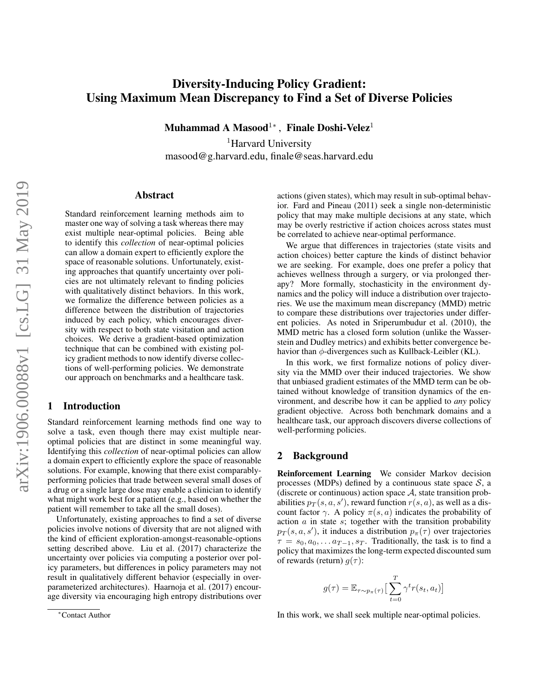# Diversity-Inducing Policy Gradient: Using Maximum Mean Discrepancy to Find a Set of Diverse Policies

Muhammad A Masood<sup>1</sup>\*, Finale Doshi-Velez<sup>1</sup>

<sup>1</sup>Harvard University masood@g.harvard.edu, finale@seas.harvard.edu

#### Abstract

Standard reinforcement learning methods aim to master one way of solving a task whereas there may exist multiple near-optimal policies. Being able to identify this *collection* of near-optimal policies can allow a domain expert to efficiently explore the space of reasonable solutions. Unfortunately, existing approaches that quantify uncertainty over policies are not ultimately relevant to finding policies with qualitatively distinct behaviors. In this work, we formalize the difference between policies as a difference between the distribution of trajectories induced by each policy, which encourages diversity with respect to both state visitation and action choices. We derive a gradient-based optimization technique that can be combined with existing policy gradient methods to now identify diverse collections of well-performing policies. We demonstrate our approach on benchmarks and a healthcare task.

### 1 Introduction

Standard reinforcement learning methods find one way to solve a task, even though there may exist multiple nearoptimal policies that are distinct in some meaningful way. Identifying this *collection* of near-optimal policies can allow a domain expert to efficiently explore the space of reasonable solutions. For example, knowing that there exist comparablyperforming policies that trade between several small doses of a drug or a single large dose may enable a clinician to identify what might work best for a patient (e.g., based on whether the patient will remember to take all the small doses).

Unfortunately, existing approaches to find a set of diverse policies involve notions of diversity that are not aligned with the kind of efficient exploration-amongst-reasonable-options setting described above. [Liu et al.](#page-6-0) [\(2017\)](#page-6-0) characterize the uncertainty over policies via computing a posterior over policy parameters, but differences in policy parameters may not result in qualitatively different behavior (especially in overparameterized architectures). [Haarnoja et al.](#page-6-1) [\(2017\)](#page-6-1) encourage diversity via encouraging high entropy distributions over actions (given states), which may result in sub-optimal behavior. [Fard and Pineau](#page-6-2) [\(2011\)](#page-6-2) seek a single non-deterministic policy that may make multiple decisions at any state, which may be overly restrictive if action choices across states must be correlated to achieve near-optimal performance.

We argue that differences in trajectories (state visits and action choices) better capture the kinds of distinct behavior we are seeking. For example, does one prefer a policy that achieves wellness through a surgery, or via prolonged therapy? More formally, stochasticity in the environment dynamics and the policy will induce a distribution over trajectories. We use the maximum mean discrepancy (MMD) metric to compare these distributions over trajectories under different policies. As noted in [Sriperumbudur et al.](#page-6-3) [\(2010\)](#page-6-3), the MMD metric has a closed form solution (unlike the Wasserstein and Dudley metrics) and exhibits better convergence behavior than  $\phi$ -divergences such as Kullback-Leibler (KL).

In this work, we first formalize notions of policy diversity via the MMD over their induced trajectories. We show that unbiased gradient estimates of the MMD term can be obtained without knowledge of transition dynamics of the environment, and describe how it can be applied to *any* policy gradient objective. Across both benchmark domains and a healthcare task, our approach discovers diverse collections of well-performing policies.

#### 2 Background

Reinforcement Learning We consider Markov decision processes (MDPs) defined by a continuous state space  $S$ , a (discrete or continuous) action space  $A$ , state transition probabilities  $p_T(s, a, s')$ , reward function  $r(s, a)$ , as well as a discount factor  $\gamma$ . A policy  $\pi(s, a)$  indicates the probability of action  $\alpha$  in state  $s$ ; together with the transition probability  $p_T(s, a, s')$ , it induces a distribution  $p_{\pi}(\tau)$  over trajectories  $\tau = s_0, a_0, \ldots a_{T-1}, s_T$ . Traditionally, the task is to find a policy that maximizes the long-term expected discounted sum of rewards (return)  $q(\tau)$ :

$$
g(\tau) = \mathbb{E}_{\tau \sim p_{\pi}(\tau)} \left[ \sum_{t=0}^{T} \gamma^t r(s_t, a_t) \right]
$$

In this work, we shall seek multiple near-optimal policies.

<sup>∗</sup>Contact Author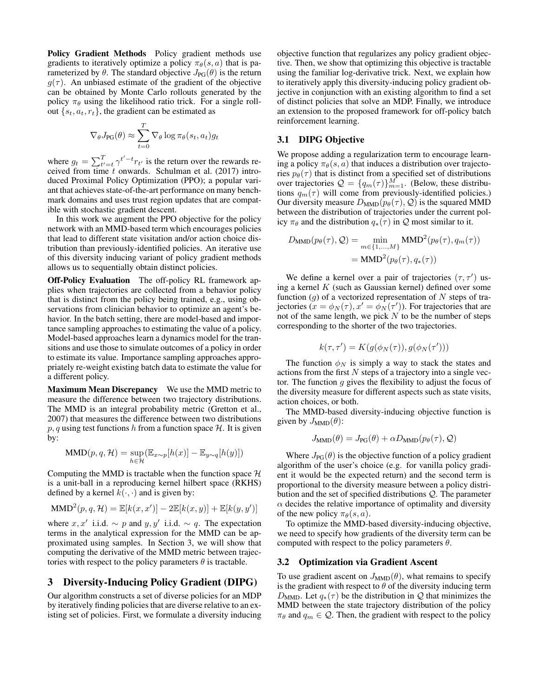Policy Gradient Methods Policy gradient methods use gradients to iteratively optimize a policy  $\pi_{\theta}(s, a)$  that is parameterized by  $\theta$ . The standard objective  $J_{PG}(\theta)$  is the return  $g(\tau)$ . An unbiased estimate of the gradient of the objective can be obtained by Monte Carlo rollouts generated by the policy  $\pi_{\theta}$  using the likelihood ratio trick. For a single rollout  $\{s_t, a_t, r_t\}$ , the gradient can be estimated as

$$
\nabla_{\theta} J_{\text{PG}}(\theta) \approx \sum_{t=0}^{T} \nabla_{\theta} \log \pi_{\theta}(s_t, a_t) g_t
$$

where  $g_t = \sum_{t'=t}^T \gamma^{t'-t} r_{t'}$  is the return over the rewards received from time  $t$  onwards. [Schulman et al.](#page-6-4) [\(2017\)](#page-6-4) introduced Proximal Policy Optimization (PPO); a popular variant that achieves state-of-the-art performance on many benchmark domains and uses trust region updates that are compatible with stochastic gradient descent.

In this work we augment the PPO objective for the policy network with an MMD-based term which encourages policies that lead to different state visitation and/or action choice distribution than previously-identified policies. An iterative use of this diversity inducing variant of policy gradient methods allows us to sequentially obtain distinct policies.

Off-Policy Evaluation The off-policy RL framework applies when trajectories are collected from a behavior policy that is distinct from the policy being trained, e.g., using observations from clinician behavior to optimize an agent's behavior. In the batch setting, there are model-based and importance sampling approaches to estimating the value of a policy. Model-based approaches learn a dynamics model for the transitions and use those to simulate outcomes of a policy in order to estimate its value. Importance sampling approaches appropriately re-weight existing batch data to estimate the value for a different policy.

Maximum Mean Discrepancy We use the MMD metric to measure the difference between two trajectory distributions. The MMD is an integral probability metric [\(Gretton et al.,](#page-6-5) [2007\)](#page-6-5) that measures the difference between two distributions  $p, q$  using test functions h from a function space H. It is given by:

$$
\text{MMD}(p, q, \mathcal{H}) = \sup_{h \in \mathcal{H}} (\mathbb{E}_{x \sim p}[h(x)] - \mathbb{E}_{y \sim q}[h(y)])
$$

Computing the MMD is tractable when the function space  $H$ is a unit-ball in a reproducing kernel hilbert space (RKHS) defined by a kernel  $k(\cdot, \cdot)$  and is given by:

$$
\text{MMD}^{2}(p,q,\mathcal{H}) = \mathbb{E}[k(x,x')] - 2\mathbb{E}[k(x,y)] + \mathbb{E}[k(y,y')]
$$

where  $x, x'$  i.i.d.  $\sim p$  and  $y, y'$  i.i.d.  $\sim q$ . The expectation terms in the analytical expression for the MMD can be approximated using samples. In Section [3,](#page-1-0) we will show that computing the derivative of the MMD metric between trajectories with respect to the policy parameters  $\theta$  is tractable.

### <span id="page-1-0"></span>3 Diversity-Inducing Policy Gradient (DIPG)

Our algorithm constructs a set of diverse policies for an MDP by iteratively finding policies that are diverse relative to an existing set of policies. First, we formulate a diversity inducing objective function that regularizes any policy gradient objective. Then, we show that optimizing this objective is tractable using the familiar log-derivative trick. Next, we explain how to iteratively apply this diversity-inducing policy gradient objective in conjunction with an existing algorithm to find a set of distinct policies that solve an MDP. Finally, we introduce an extension to the proposed framework for off-policy batch reinforcement learning.

### 3.1 DIPG Objective

We propose adding a regularization term to encourage learning a policy  $\pi_{\theta}(s, a)$  that induces a distribution over trajectories  $p_{\theta}(\tau)$  that is distinct from a specified set of distributions over trajectories  $\mathcal{Q} = \{q_m(\tau)\}_{m=1}^M$ . (Below, these distributions  $q_m(\tau)$  will come from previously-identified policies.) Our diversity measure  $D_{\text{MMD}}(p_{\theta}(\tau), Q)$  is the squared MMD between the distribution of trajectories under the current policy  $\pi_{\theta}$  and the distribution  $q_*(\tau)$  in  $\mathcal Q$  most similar to it.

$$
D_{\text{MMD}}(p_{\theta}(\tau), Q) = \min_{m \in \{1, ..., M\}} \text{MMD}^{2}(p_{\theta}(\tau), q_{m}(\tau))
$$

$$
= \text{MMD}^{2}(p_{\theta}(\tau), q_{*}(\tau))
$$

We define a kernel over a pair of trajectories  $(\tau, \tau')$  using a kernel  $K$  (such as Gaussian kernel) defined over some function  $(g)$  of a vectorized representation of N steps of trajectories  $(x = \phi_N(\tau), x' = \phi_N(\tau'))$ . For trajectories that are not of the same length, we pick  $N$  to be the number of steps corresponding to the shorter of the two trajectories.

$$
k(\tau, \tau') = K(g(\phi_N(\tau)), g(\phi_N(\tau')))
$$

The function  $\phi_N$  is simply a way to stack the states and actions from the first  $N$  steps of a trajectory into a single vector. The function  $g$  gives the flexibility to adjust the focus of the diversity measure for different aspects such as state visits, action choices, or both.

The MMD-based diversity-inducing objective function is given by  $J_{\text{MMD}}(\theta)$ :

$$
J_{\text{MMD}}(\theta) = J_{\text{PG}}(\theta) + \alpha D_{\text{MMD}}(p_{\theta}(\tau), \mathcal{Q})
$$

Where  $J_{\text{PG}}(\theta)$  is the objective function of a policy gradient algorithm of the user's choice (e.g. for vanilla policy gradient it would be the expected return) and the second term is proportional to the diversity measure between a policy distribution and the set of specified distributions Q. The parameter  $\alpha$  decides the relative importance of optimality and diversity of the new policy  $\pi_{\theta}(s, a)$ .

To optimize the MMD-based diversity-inducing objective, we need to specify how gradients of the diversity term can be computed with respect to the policy parameters  $\theta$ .

#### 3.2 Optimization via Gradient Ascent

To use gradient ascent on  $J_{\text{MMD}}(\theta)$ , what remains to specify is the gradient with respect to  $\theta$  of the diversity inducing term  $D_{\text{MMD}}$ . Let  $q_*(\tau)$  be the distribution in Q that minimizes the MMD between the state trajectory distribution of the policy  $\pi_{\theta}$  and  $q_m \in \mathcal{Q}$ . Then, the gradient with respect to the policy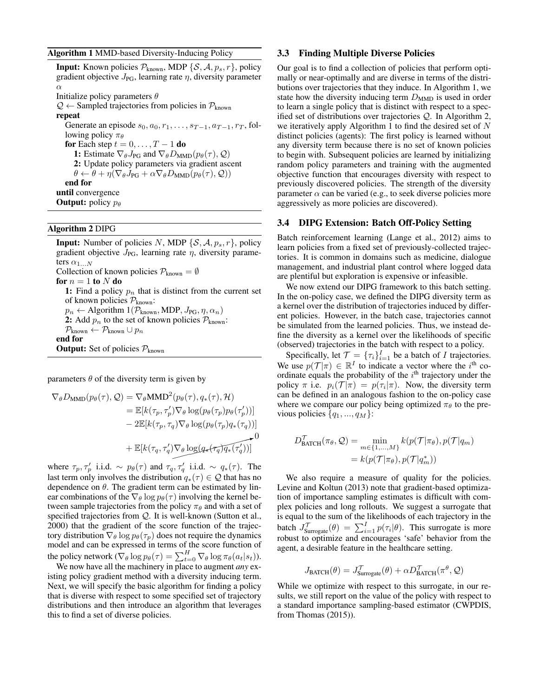#### <span id="page-2-0"></span>Algorithm 1 MMD-based Diversity-Inducing Policy

**Input:** Known policies  $\mathcal{P}_{known}$ , MDP { $\mathcal{S}, \mathcal{A}, p_s, r$ }, policy gradient objective  $J_{PG}$ , learning rate  $\eta$ , diversity parameter α Initialize policy parameters  $\theta$  $\mathcal{Q} \leftarrow$  Sampled trajectories from policies in  $\mathcal{P}_{known}$ repeat Generate an episode  $s_0, a_0, r_1, \ldots, s_{T-1}, a_{T-1}, r_T$ , following policy  $\pi_{\theta}$ for Each step  $t = 0, \ldots, T - 1$  do 1: Estimate  $\nabla_{\theta} J_{PG}$  and  $\nabla_{\theta} D_{MMD}(p_{\theta}(\tau), \mathcal{Q})$ 2: Update policy parameters via gradient ascent  $\theta \leftarrow \theta + \eta (\nabla_{\theta} J_{PG} + \alpha \nabla_{\theta} D_{MMD}(p_{\theta}(\tau), \mathcal{Q}))$ end for until convergence **Output:** policy  $p_{\theta}$ 

### <span id="page-2-1"></span>Algorithm 2 DIPG

**Input:** Number of policies N, MDP  $\{S, A, p_s, r\}$ , policy gradient objective  $J_{\text{PG}}$ , learning rate  $\eta$ , diversity parameters  $\alpha_{1...N}$ Collection of known policies  $P_{known} = \emptyset$ for  $n = 1$  to N do 1: Find a policy  $p_n$  that is distinct from the current set of known policies  $P_{known}$ :  $p_n \leftarrow$  Algorithm  $1(\overline{\mathcal{P}_{\text{known}}}$ , MDP,  $J_{PG}, \eta, \alpha_n)$ 2: Add  $p_n$  to the set of known policies  $P_{known}$ :  $P_{known} \leftarrow P_{known} \cup p_n$ end for **Output:** Set of policies  $P_{known}$ 

parameters  $\theta$  of the diversity term is given by

$$
\nabla_{\theta} D_{\text{MMD}}(p_{\theta}(\tau), \mathcal{Q}) = \nabla_{\theta} \text{MMD}^{2}(p_{\theta}(\tau), q_{*}(\tau), \mathcal{H})
$$
\n
$$
= \mathbb{E}[k(\tau_{p}, \tau_{p}') \nabla_{\theta} \log(p_{\theta}(\tau_{p}) p_{\theta}(\tau_{p}'))]
$$
\n
$$
- 2 \mathbb{E}[k(\tau_{p}, \tau_{q}) \nabla_{\theta} \log(p_{\theta}(\tau_{p}) q_{*}(\tau_{q}))]
$$
\n
$$
+ \mathbb{E}[k(\tau_{q}, \tau_{q}') \nabla_{\theta} \log(q_{*}(\tau_{q}) q_{*}(\tau_{q}'))]
$$

where  $\tau_p, \tau_p'$  i.i.d.  $\sim p_\theta(\tau)$  and  $\tau_q, \tau_q'$  i.i.d.  $\sim q_*(\tau)$ . The last term only involves the distribution  $q_*(\tau) \in \mathcal{Q}$  that has no dependence on  $\theta$ . The gradient term can be estimated by linear combinations of the  $\nabla_{\theta}$  log  $p_{\theta}(\tau)$  involving the kernel between sample trajectories from the policy  $\pi_{\theta}$  and with a set of specified trajectories from  $Q$ . It is well-known [\(Sutton et al.,](#page-7-0) [2000\)](#page-7-0) that the gradient of the score function of the trajectory distribution  $\nabla_{\theta} \log p_{\theta}(\tau_p)$  does not require the dynamics model and can be expressed in terms of the score function of the policy network ( $\nabla_{\theta} \log p_{\theta}(\tau) = \sum_{t=0}^{H} \nabla_{\theta} \log \pi_{\theta}(a_t|s_t)$ ).

We now have all the machinery in place to augment *any* existing policy gradient method with a diversity inducing term. Next, we will specify the basic algorithm for finding a policy that is diverse with respect to some specified set of trajectory distributions and then introduce an algorithm that leverages this to find a set of diverse policies.

#### 3.3 Finding Multiple Diverse Policies

Our goal is to find a collection of policies that perform optimally or near-optimally and are diverse in terms of the distributions over trajectories that they induce. In Algorithm [1,](#page-2-0) we state how the diversity inducing term  $D_{\text{MMD}}$  is used in order to learn a single policy that is distinct with respect to a specified set of distributions over trajectories Q. In Algorithm [2,](#page-2-1) we iteratively apply Algorithm [1](#page-2-0) to find the desired set of N distinct policies (agents): The first policy is learned without any diversity term because there is no set of known policies to begin with. Subsequent policies are learned by initializing random policy parameters and training with the augmented objective function that encourages diversity with respect to previously discovered policies. The strength of the diversity parameter  $\alpha$  can be varied (e.g., to seek diverse policies more aggressively as more policies are discovered).

#### 3.4 DIPG Extension: Batch Off-Policy Setting

Batch reinforcement learning [\(Lange et al., 2012\)](#page-6-6) aims to learn policies from a fixed set of previously-collected trajectories. It is common in domains such as medicine, dialogue management, and industrial plant control where logged data are plentiful but exploration is expensive or infeasible.

We now extend our DIPG framework to this batch setting. In the on-policy case, we defined the DIPG diversity term as a kernel over the distribution of trajectories induced by different policies. However, in the batch case, trajectories cannot be simulated from the learned policies. Thus, we instead define the diversity as a kernel over the likelihoods of specific (observed) trajectories in the batch with respect to a policy.

Specifically, let  $\mathcal{T} = {\{\tau_i\}}_{i=1}^I$  be a batch of *I* trajectories. We use  $p(\mathcal{T}|\pi) \in \mathbb{R}^I$  to indicate a vector where the i<sup>th</sup> coordinate equals the probability of the  $i<sup>th</sup>$  trajectory under the policy  $\pi$  i.e.  $p_i(\mathcal{T}|\pi) = p(\tau_i|\pi)$ . Now, the diversity term can be defined in an analogous fashion to the on-policy case where we compare our policy being optimized  $\pi_{\theta}$  to the previous policies  $\{q_1, ..., q_M\}$ :

$$
D_{\text{BATCH}}^{\mathcal{T}}(\pi_{\theta}, \mathcal{Q}) = \min_{m \in \{1, ..., M\}} k(p(\mathcal{T}|\pi_{\theta}), p(\mathcal{T}|q_m))
$$
  
=  $k(p(\mathcal{T}|\pi_{\theta}), p(\mathcal{T}|q_m^*))$ 

We also require a measure of quality for the policies. [Levine and Koltun](#page-6-7) [\(2013\)](#page-6-7) note that gradient-based optimization of importance sampling estimates is difficult with complex policies and long rollouts. We suggest a surrogate that is equal to the sum of the likelihoods of each trajectory in the batch  $J_{\text{Surrogate}}^{\mathcal{T}}(\theta) = \sum_{i=1}^{I} p(\tau_i|\theta)$ . This surrogate is more robust to optimize and encourages 'safe' behavior from the agent, a desirable feature in the healthcare setting.

$$
J_{\text{BATCH}}(\theta) = J_{\text{Surrogate}}^{\mathcal{T}}(\theta) + \alpha D_{\text{BATCH}}^{\mathcal{T}}(\pi^{\theta}, \mathcal{Q})
$$

While we optimize with respect to this surrogate, in our results, we still report on the value of the policy with respect to a standard importance sampling-based estimator (CWPDIS, from [Thomas](#page-7-1) [\(2015\)](#page-7-1)).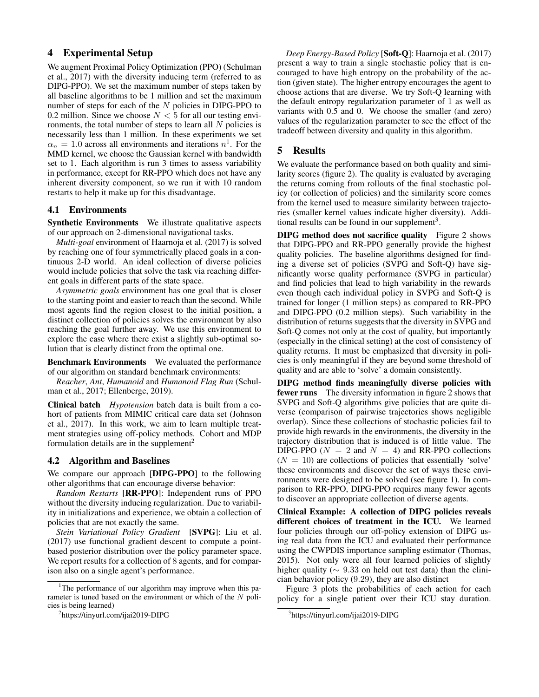# 4 Experimental Setup

We augment Proximal Policy Optimization (PPO) [\(Schulman](#page-6-4) [et al., 2017\)](#page-6-4) with the diversity inducing term (referred to as DIPG-PPO). We set the maximum number of steps taken by all baseline algorithms to be 1 million and set the maximum number of steps for each of the  $N$  policies in DIPG-PPO to 0.2 million. Since we choose  $N < 5$  for all our testing environments, the total number of steps to learn all  $N$  policies is necessarily less than 1 million. In these experiments we set  $\alpha_n = 1.0$  $\alpha_n = 1.0$  $\alpha_n = 1.0$  across all environments and iterations  $n^1$ . For the MMD kernel, we choose the Gaussian kernel with bandwidth set to 1. Each algorithm is run 3 times to assess variability in performance, except for RR-PPO which does not have any inherent diversity component, so we run it with 10 random restarts to help it make up for this disadvantage.

### 4.1 Environments

Synthetic Environments We illustrate qualitative aspects of our approach on 2-dimensional navigational tasks.

*Multi-goal* environment of [Haarnoja et al.](#page-6-1) [\(2017\)](#page-6-1) is solved by reaching one of four symmetrically placed goals in a continuous 2-D world. An ideal collection of diverse policies would include policies that solve the task via reaching different goals in different parts of the state space.

*Asymmetric goals* environment has one goal that is closer to the starting point and easier to reach than the second. While most agents find the region closest to the initial position, a distinct collection of policies solves the environment by also reaching the goal further away. We use this environment to explore the case where there exist a slightly sub-optimal solution that is clearly distinct from the optimal one.

Benchmark Environments We evaluated the performance of our algorithm on standard benchmark environments:

*Reacher*, *Ant*, *Humanoid* and *Humanoid Flag Run* [\(Schul](#page-6-4)[man et al., 2017;](#page-6-4) [Ellenberge, 2019\)](#page-6-8).

Clinical batch *Hypotension* batch data is built from a cohort of patients from MIMIC critical care data set [\(Johnson](#page-6-9) [et al., 2017\)](#page-6-9). In this work, we aim to learn multiple treatment strategies using off-policy methods. Cohort and MDP formulation details are in the supplement<sup>[2](#page-3-1)</sup>

#### 4.2 Algorithm and Baselines

We compare our approach [DIPG-PPO] to the following other algorithms that can encourage diverse behavior:

*Random Restarts* [RR-PPO]: Independent runs of PPO without the diversity inducing regularization. Due to variability in initializations and experience, we obtain a collection of policies that are not exactly the same.

*Stein Variational Policy Gradient* [SVPG]: [Liu et al.](#page-6-0) [\(2017\)](#page-6-0) use functional gradient descent to compute a pointbased posterior distribution over the policy parameter space. We report results for a collection of 8 agents, and for comparison also on a single agent's performance.

*Deep Energy-Based Policy* [Soft-Q]: [Haarnoja et al.](#page-6-1) [\(2017\)](#page-6-1) present a way to train a single stochastic policy that is encouraged to have high entropy on the probability of the action (given state). The higher entropy encourages the agent to choose actions that are diverse. We try Soft-Q learning with the default entropy regularization parameter of 1 as well as variants with 0.5 and 0. We choose the smaller (and zero) values of the regularization parameter to see the effect of the tradeoff between diversity and quality in this algorithm.

### 5 Results

We evaluate the performance based on both quality and similarity scores (figure [2\)](#page-4-0). The quality is evaluated by averaging the returns coming from rollouts of the final stochastic policy (or collection of policies) and the similarity score comes from the kernel used to measure similarity between trajectories (smaller kernel values indicate higher diversity). Addi-tional results can be found in our supplement<sup>[3](#page-3-2)</sup>.

DIPG method does not sacrifice quality Figure [2](#page-4-0) shows that DIPG-PPO and RR-PPO generally provide the highest quality policies. The baseline algorithms designed for finding a diverse set of policies (SVPG and Soft-Q) have significantly worse quality performance (SVPG in particular) and find policies that lead to high variability in the rewards even though each individual policy in SVPG and Soft-Q is trained for longer (1 million steps) as compared to RR-PPO and DIPG-PPO (0.2 million steps). Such variability in the distribution of returns suggests that the diversity in SVPG and Soft-Q comes not only at the cost of quality, but importantly (especially in the clinical setting) at the cost of consistency of quality returns. It must be emphasized that diversity in policies is only meaningful if they are beyond some threshold of quality and are able to 'solve' a domain consistently.

DIPG method finds meaningfully diverse policies with fewer runs The diversity information in figure [2](#page-4-0) shows that SVPG and Soft-Q algorithms give policies that are quite diverse (comparison of pairwise trajectories shows negligible overlap). Since these collections of stochastic policies fail to provide high rewards in the environments, the diversity in the trajectory distribution that is induced is of little value. The DIPG-PPO ( $N = 2$  and  $N = 4$ ) and RR-PPO collections  $(N = 10)$  are collections of policies that essentially 'solve' these environments and discover the set of ways these environments were designed to be solved (see figure [1\)](#page-4-1). In comparison to RR-PPO, DIPG-PPO requires many fewer agents to discover an appropriate collection of diverse agents.

Clinical Example: A collection of DIPG policies reveals different choices of treatment in the ICU. We learned four policies through our off-policy extension of DIPG using real data from the ICU and evaluated their performance using the CWPDIS importance sampling estimator [\(Thomas,](#page-7-1) [2015\)](#page-7-1). Not only were all four learned policies of slightly higher quality ( $\sim$  9.33 on held out test data) than the clinician behavior policy (9.29), they are also distinct

Figure [3](#page-4-2) plots the probabilities of each action for each policy for a single patient over their ICU stay duration.

<span id="page-3-0"></span><sup>&</sup>lt;sup>1</sup>The performance of our algorithm may improve when this parameter is tuned based on the environment or which of the N policies is being learned)

<span id="page-3-1"></span><sup>2</sup> https://tinyurl.com/ijai2019-DIPG

<span id="page-3-2"></span><sup>3</sup> https://tinyurl.com/ijai2019-DIPG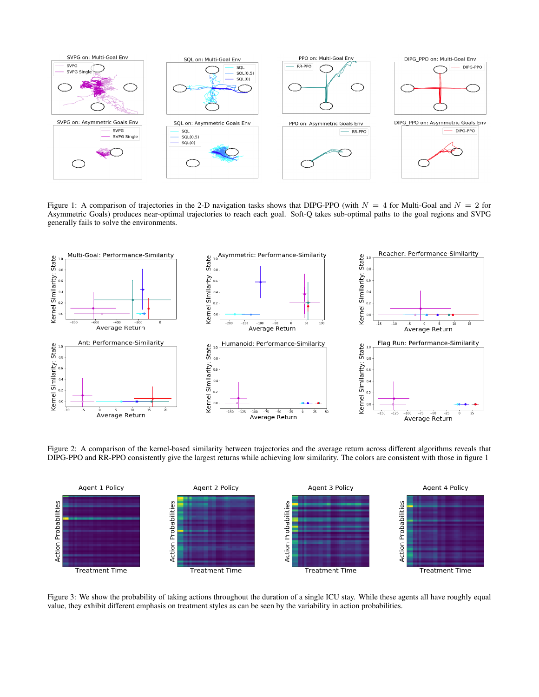<span id="page-4-1"></span>

Figure 1: A comparison of trajectories in the 2-D navigation tasks shows that DIPG-PPO (with  $N = 4$  for Multi-Goal and  $N = 2$  for Asymmetric Goals) produces near-optimal trajectories to reach each goal. Soft-Q takes sub-optimal paths to the goal regions and SVPG generally fails to solve the environments.

<span id="page-4-0"></span>

Figure 2: A comparison of the kernel-based similarity between trajectories and the average return across different algorithms reveals that DIPG-PPO and RR-PPO consistently give the largest returns while achieving low similarity. The colors are consistent with those in figure [1](#page-4-1)

<span id="page-4-2"></span>

Figure 3: We show the probability of taking actions throughout the duration of a single ICU stay. While these agents all have roughly equal value, they exhibit different emphasis on treatment styles as can be seen by the variability in action probabilities.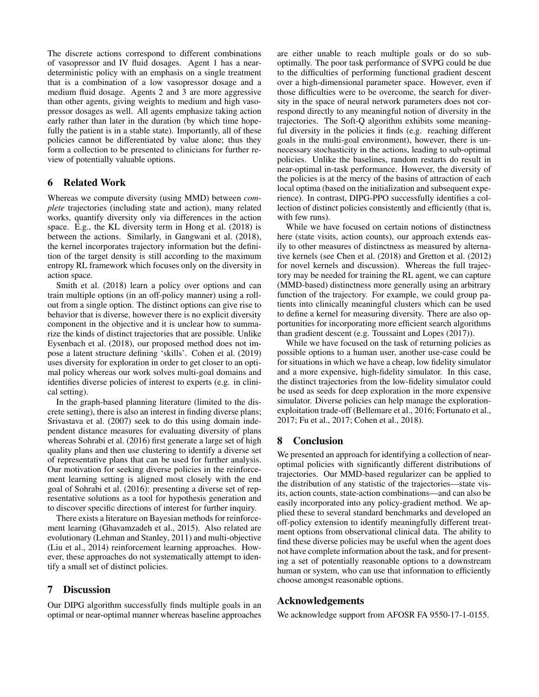The discrete actions correspond to different combinations of vasopressor and IV fluid dosages. Agent 1 has a neardeterministic policy with an emphasis on a single treatment that is a combination of a low vasopressor dosage and a medium fluid dosage. Agents 2 and 3 are more aggressive than other agents, giving weights to medium and high vasopressor dosages as well. All agents emphasize taking action early rather than later in the duration (by which time hopefully the patient is in a stable state). Importantly, all of these policies cannot be differentiated by value alone; thus they form a collection to be presented to clinicians for further review of potentially valuable options.

# 6 Related Work

Whereas we compute diversity (using MMD) between *complete* trajectories (including state and action), many related works, quantify diversity only via differences in the action space. E.g., the KL diversity term in [Hong et al.](#page-6-10) [\(2018\)](#page-6-10) is between the actions. Similarly, in [Gangwani et al.](#page-6-11) [\(2018\)](#page-6-11), the kernel incorporates trajectory information but the definition of the target density is still according to the maximum entropy RL framework which focuses only on the diversity in action space.

[Smith et al.](#page-6-12) [\(2018\)](#page-6-12) learn a policy over options and can train multiple options (in an off-policy manner) using a rollout from a single option. The distinct options can give rise to behavior that is diverse, however there is no explicit diversity component in the objective and it is unclear how to summarize the kinds of distinct trajectories that are possible. Unlike [Eysenbach et al.](#page-6-13) [\(2018\)](#page-6-13), our proposed method does not impose a latent structure defining 'skills'. [Cohen et al.](#page-6-14) [\(2019\)](#page-6-14) uses diversity for exploration in order to get closer to an optimal policy whereas our work solves multi-goal domains and identifies diverse policies of interest to experts (e.g. in clinical setting).

In the graph-based planning literature (limited to the discrete setting), there is also an interest in finding diverse plans; [Srivastava et al.](#page-7-2) [\(2007\)](#page-7-2) seek to do this using domain independent distance measures for evaluating diversity of plans whereas [Sohrabi et al.](#page-6-15) [\(2016\)](#page-6-15) first generate a large set of high quality plans and then use clustering to identify a diverse set of representative plans that can be used for further analysis. Our motivation for seeking diverse policies in the reinforcement learning setting is aligned most closely with the end goal of [Sohrabi et al.](#page-6-15) [\(2016\)](#page-6-15): presenting a diverse set of representative solutions as a tool for hypothesis generation and to discover specific directions of interest for further inquiry.

There exists a literature on Bayesian methods for reinforcement learning [\(Ghavamzadeh et al., 2015\)](#page-6-16). Also related are evolutionary [\(Lehman and Stanley, 2011\)](#page-6-17) and multi-objective [\(Liu et al., 2014\)](#page-6-18) reinforcement learning approaches. However, these approaches do not systematically attempt to identify a small set of distinct policies.

# 7 Discussion

Our DIPG algorithm successfully finds multiple goals in an optimal or near-optimal manner whereas baseline approaches are either unable to reach multiple goals or do so suboptimally. The poor task performance of SVPG could be due to the difficulties of performing functional gradient descent over a high-dimensional parameter space. However, even if those difficulties were to be overcome, the search for diversity in the space of neural network parameters does not correspond directly to any meaningful notion of diversity in the trajectories. The Soft-Q algorithm exhibits some meaningful diversity in the policies it finds (e.g. reaching different goals in the multi-goal environment), however, there is unnecessary stochasticity in the actions, leading to sub-optimal policies. Unlike the baselines, random restarts do result in near-optimal in-task performance. However, the diversity of the policies is at the mercy of the basins of attraction of each local optima (based on the initialization and subsequent experience). In contrast, DIPG-PPO successfully identifies a collection of distinct policies consistently and efficiently (that is, with few runs).

While we have focused on certain notions of distinctness here (state visits, action counts), our approach extends easily to other measures of distinctness as measured by alternative kernels (see [Chen et al.](#page-6-19) [\(2018\)](#page-6-19) and [Gretton et al.](#page-6-20) [\(2012\)](#page-6-20) for novel kernels and discussion). Whereas the full trajectory may be needed for training the RL agent, we can capture (MMD-based) distinctness more generally using an arbitrary function of the trajectory. For example, we could group patients into clinically meaningful clusters which can be used to define a kernel for measuring diversity. There are also opportunities for incorporating more efficient search algorithms than gradient descent (e.g. [Toussaint and Lopes](#page-7-3) [\(2017\)](#page-7-3)).

While we have focused on the task of returning policies as possible options to a human user, another use-case could be for situations in which we have a cheap, low fidelity simulator and a more expensive, high-fidelity simulator. In this case, the distinct trajectories from the low-fidelity simulator could be used as seeds for deep exploration in the more expensive simulator. Diverse policies can help manage the explorationexploitation trade-off [\(Bellemare et al., 2016;](#page-6-21) [Fortunato et al.,](#page-6-22) [2017;](#page-6-22) [Fu et al., 2017;](#page-6-23) [Cohen et al., 2018\)](#page-6-24).

# 8 Conclusion

We presented an approach for identifying a collection of nearoptimal policies with significantly different distributions of trajectories. Our MMD-based regularizer can be applied to the distribution of any statistic of the trajectories—state visits, action counts, state-action combinations—and can also be easily incorporated into any policy-gradient method. We applied these to several standard benchmarks and developed an off-policy extension to identify meaningfully different treatment options from observational clinical data. The ability to find these diverse policies may be useful when the agent does not have complete information about the task, and for presenting a set of potentially reasonable options to a downstream human or system, who can use that information to efficiently choose amongst reasonable options.

### Acknowledgements

We acknowledge support from AFOSR FA 9550-17-1-0155.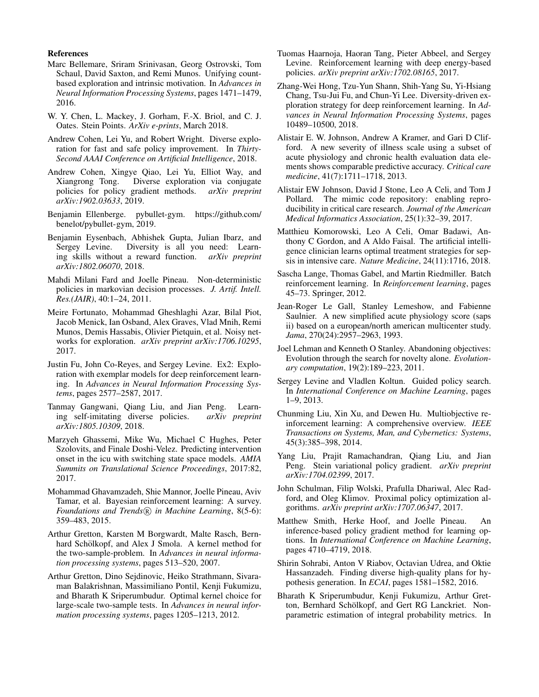#### References

- <span id="page-6-21"></span>Marc Bellemare, Sriram Srinivasan, Georg Ostrovski, Tom Schaul, David Saxton, and Remi Munos. Unifying countbased exploration and intrinsic motivation. In *Advances in Neural Information Processing Systems*, pages 1471–1479, 2016.
- <span id="page-6-19"></span>W. Y. Chen, L. Mackey, J. Gorham, F.-X. Briol, and C. J. Oates. Stein Points. *ArXiv e-prints*, March 2018.
- <span id="page-6-24"></span>Andrew Cohen, Lei Yu, and Robert Wright. Diverse exploration for fast and safe policy improvement. In *Thirty-Second AAAI Conference on Artificial Intelligence*, 2018.
- <span id="page-6-14"></span>Andrew Cohen, Xingye Qiao, Lei Yu, Elliot Way, and Xiangrong Tong. Diverse exploration via conjugate policies for policy gradient methods. *arXiv preprint arXiv:1902.03633*, 2019.
- <span id="page-6-8"></span>Benjamin Ellenberge. pybullet-gym. [https://github.com/](https://github.com/benelot/pybullet-gym) [benelot/pybullet-gym,](https://github.com/benelot/pybullet-gym) 2019.
- <span id="page-6-13"></span>Benjamin Eysenbach, Abhishek Gupta, Julian Ibarz, and Sergey Levine. Diversity is all you need: Learning skills without a reward function. *arXiv preprint arXiv:1802.06070*, 2018.
- <span id="page-6-2"></span>Mahdi Milani Fard and Joelle Pineau. Non-deterministic policies in markovian decision processes. *J. Artif. Intell. Res.(JAIR)*, 40:1–24, 2011.
- <span id="page-6-22"></span>Meire Fortunato, Mohammad Gheshlaghi Azar, Bilal Piot, Jacob Menick, Ian Osband, Alex Graves, Vlad Mnih, Remi Munos, Demis Hassabis, Olivier Pietquin, et al. Noisy networks for exploration. *arXiv preprint arXiv:1706.10295*, 2017.
- <span id="page-6-23"></span>Justin Fu, John Co-Reyes, and Sergey Levine. Ex2: Exploration with exemplar models for deep reinforcement learning. In *Advances in Neural Information Processing Systems*, pages 2577–2587, 2017.
- <span id="page-6-11"></span>Tanmay Gangwani, Qiang Liu, and Jian Peng. Learning self-imitating diverse policies. *arXiv preprint arXiv:1805.10309*, 2018.
- <span id="page-6-25"></span>Marzyeh Ghassemi, Mike Wu, Michael C Hughes, Peter Szolovits, and Finale Doshi-Velez. Predicting intervention onset in the icu with switching state space models. *AMIA Summits on Translational Science Proceedings*, 2017:82, 2017.
- <span id="page-6-16"></span>Mohammad Ghavamzadeh, Shie Mannor, Joelle Pineau, Aviv Tamar, et al. Bayesian reinforcement learning: A survey. *Foundations and Trends*  $(R)$  *in Machine Learning*, 8(5-6): 359–483, 2015.
- <span id="page-6-5"></span>Arthur Gretton, Karsten M Borgwardt, Malte Rasch, Bernhard Schölkopf, and Alex J Smola. A kernel method for the two-sample-problem. In *Advances in neural information processing systems*, pages 513–520, 2007.
- <span id="page-6-20"></span>Arthur Gretton, Dino Sejdinovic, Heiko Strathmann, Sivaraman Balakrishnan, Massimiliano Pontil, Kenji Fukumizu, and Bharath K Sriperumbudur. Optimal kernel choice for large-scale two-sample tests. In *Advances in neural information processing systems*, pages 1205–1213, 2012.
- <span id="page-6-1"></span>Tuomas Haarnoja, Haoran Tang, Pieter Abbeel, and Sergey Levine. Reinforcement learning with deep energy-based policies. *arXiv preprint arXiv:1702.08165*, 2017.
- <span id="page-6-10"></span>Zhang-Wei Hong, Tzu-Yun Shann, Shih-Yang Su, Yi-Hsiang Chang, Tsu-Jui Fu, and Chun-Yi Lee. Diversity-driven exploration strategy for deep reinforcement learning. In *Advances in Neural Information Processing Systems*, pages 10489–10500, 2018.
- <span id="page-6-27"></span>Alistair E. W. Johnson, Andrew A Kramer, and Gari D Clifford. A new severity of illness scale using a subset of acute physiology and chronic health evaluation data elements shows comparable predictive accuracy. *Critical care medicine*, 41(7):1711–1718, 2013.
- <span id="page-6-9"></span>Alistair EW Johnson, David J Stone, Leo A Celi, and Tom J Pollard. The mimic code repository: enabling reproducibility in critical care research. *Journal of the American Medical Informatics Association*, 25(1):32–39, 2017.
- <span id="page-6-26"></span>Matthieu Komorowski, Leo A Celi, Omar Badawi, Anthony C Gordon, and A Aldo Faisal. The artificial intelligence clinician learns optimal treatment strategies for sepsis in intensive care. *Nature Medicine*, 24(11):1716, 2018.
- <span id="page-6-6"></span>Sascha Lange, Thomas Gabel, and Martin Riedmiller. Batch reinforcement learning. In *Reinforcement learning*, pages 45–73. Springer, 2012.
- <span id="page-6-28"></span>Jean-Roger Le Gall, Stanley Lemeshow, and Fabienne Saulnier. A new simplified acute physiology score (saps ii) based on a european/north american multicenter study. *Jama*, 270(24):2957–2963, 1993.
- <span id="page-6-17"></span>Joel Lehman and Kenneth O Stanley. Abandoning objectives: Evolution through the search for novelty alone. *Evolutionary computation*, 19(2):189–223, 2011.
- <span id="page-6-7"></span>Sergey Levine and Vladlen Koltun. Guided policy search. In *International Conference on Machine Learning*, pages 1–9, 2013.
- <span id="page-6-18"></span>Chunming Liu, Xin Xu, and Dewen Hu. Multiobjective reinforcement learning: A comprehensive overview. *IEEE Transactions on Systems, Man, and Cybernetics: Systems*, 45(3):385–398, 2014.
- <span id="page-6-0"></span>Yang Liu, Prajit Ramachandran, Qiang Liu, and Jian Peng. Stein variational policy gradient. *arXiv preprint arXiv:1704.02399*, 2017.
- <span id="page-6-4"></span>John Schulman, Filip Wolski, Prafulla Dhariwal, Alec Radford, and Oleg Klimov. Proximal policy optimization algorithms. *arXiv preprint arXiv:1707.06347*, 2017.
- <span id="page-6-12"></span>Matthew Smith, Herke Hoof, and Joelle Pineau. An inference-based policy gradient method for learning options. In *International Conference on Machine Learning*, pages 4710–4719, 2018.
- <span id="page-6-15"></span>Shirin Sohrabi, Anton V Riabov, Octavian Udrea, and Oktie Hassanzadeh. Finding diverse high-quality plans for hypothesis generation. In *ECAI*, pages 1581–1582, 2016.
- <span id="page-6-3"></span>Bharath K Sriperumbudur, Kenji Fukumizu, Arthur Gretton, Bernhard Schölkopf, and Gert RG Lanckriet. Nonparametric estimation of integral probability metrics. In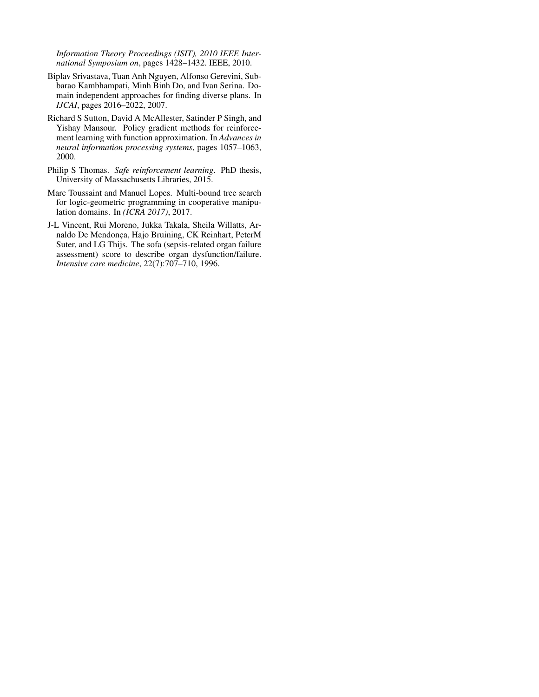*Information Theory Proceedings (ISIT), 2010 IEEE International Symposium on*, pages 1428–1432. IEEE, 2010.

- <span id="page-7-2"></span>Biplav Srivastava, Tuan Anh Nguyen, Alfonso Gerevini, Subbarao Kambhampati, Minh Binh Do, and Ivan Serina. Domain independent approaches for finding diverse plans. In *IJCAI*, pages 2016–2022, 2007.
- <span id="page-7-0"></span>Richard S Sutton, David A McAllester, Satinder P Singh, and Yishay Mansour. Policy gradient methods for reinforcement learning with function approximation. In *Advances in neural information processing systems*, pages 1057–1063, 2000.
- <span id="page-7-1"></span>Philip S Thomas. *Safe reinforcement learning*. PhD thesis, University of Massachusetts Libraries, 2015.
- <span id="page-7-3"></span>Marc Toussaint and Manuel Lopes. Multi-bound tree search for logic-geometric programming in cooperative manipulation domains. In *(ICRA 2017)*, 2017.
- <span id="page-7-4"></span>J-L Vincent, Rui Moreno, Jukka Takala, Sheila Willatts, Arnaldo De Mendonça, Hajo Bruining, CK Reinhart, PeterM Suter, and LG Thijs. The sofa (sepsis-related organ failure assessment) score to describe organ dysfunction/failure. *Intensive care medicine*, 22(7):707–710, 1996.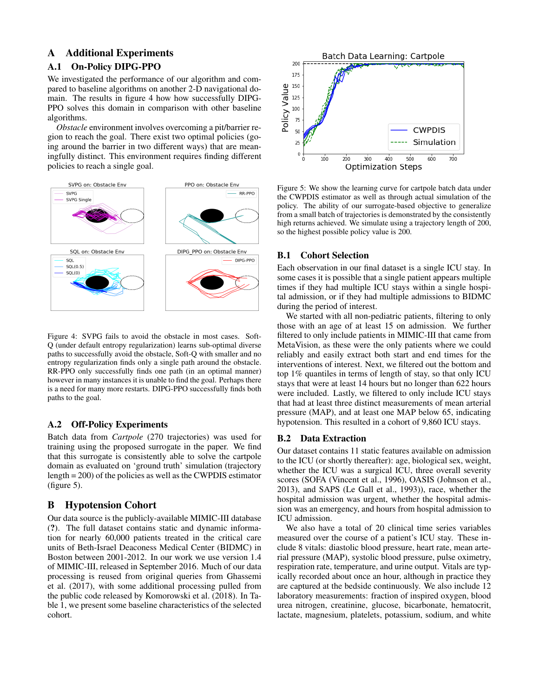# A Additional Experiments

### A.1 On-Policy DIPG-PPO

We investigated the performance of our algorithm and compared to baseline algorithms on another 2-D navigational domain. The results in figure [4](#page-8-0) how how successfully DIPG-PPO solves this domain in comparison with other baseline algorithms.

*Obstacle* environment involves overcoming a pit/barrier region to reach the goal. There exist two optimal policies (going around the barrier in two different ways) that are meaningfully distinct. This environment requires finding different policies to reach a single goal.

<span id="page-8-0"></span>

Figure 4: SVPG fails to avoid the obstacle in most cases. Soft-Q (under default entropy regularization) learns sub-optimal diverse paths to successfully avoid the obstacle, Soft-Q with smaller and no entropy regularization finds only a single path around the obstacle. RR-PPO only successfully finds one path (in an optimal manner) however in many instances it is unable to find the goal. Perhaps there is a need for many more restarts. DIPG-PPO successfully finds both paths to the goal.

#### A.2 Off-Policy Experiments

Batch data from *Cartpole* (270 trajectories) was used for training using the proposed surrogate in the paper. We find that this surrogate is consistently able to solve the cartpole domain as evaluated on 'ground truth' simulation (trajectory length = 200) of the policies as well as the CWPDIS estimator (figure [5\)](#page-8-1).

### B Hypotension Cohort

Our data source is the publicly-available MIMIC-III database (?). The full dataset contains static and dynamic information for nearly 60,000 patients treated in the critical care units of Beth-Israel Deaconess Medical Center (BIDMC) in Boston between 2001-2012. In our work we use version 1.4 of MIMIC-III, released in September 2016. Much of our data processing is reused from original queries from [Ghassemi](#page-6-25) [et al.](#page-6-25) [\(2017\)](#page-6-25), with some additional processing pulled from the public code released by [Komorowski et al.](#page-6-26) [\(2018\)](#page-6-26). In Table [1,](#page-9-0) we present some baseline characteristics of the selected cohort.

<span id="page-8-1"></span>

Figure 5: We show the learning curve for cartpole batch data under the CWPDIS estimator as well as through actual simulation of the policy. The ability of our surrogate-based objective to generalize from a small batch of trajectories is demonstrated by the consistently high returns achieved. We simulate using a trajectory length of 200, so the highest possible policy value is 200.

### B.1 Cohort Selection

Each observation in our final dataset is a single ICU stay. In some cases it is possible that a single patient appears multiple times if they had multiple ICU stays within a single hospital admission, or if they had multiple admissions to BIDMC during the period of interest.

We started with all non-pediatric patients, filtering to only those with an age of at least 15 on admission. We further filtered to only include patients in MIMIC-III that came from MetaVision, as these were the only patients where we could reliably and easily extract both start and end times for the interventions of interest. Next, we filtered out the bottom and top 1% quantiles in terms of length of stay, so that only ICU stays that were at least 14 hours but no longer than 622 hours were included. Lastly, we filtered to only include ICU stays that had at least three distinct measurements of mean arterial pressure (MAP), and at least one MAP below 65, indicating hypotension. This resulted in a cohort of 9,860 ICU stays.

#### B.2 Data Extraction

Our dataset contains 11 static features available on admission to the ICU (or shortly thereafter): age, biological sex, weight, whether the ICU was a surgical ICU, three overall severity scores (SOFA [\(Vincent et al., 1996\)](#page-7-4), OASIS [\(Johnson et al.,](#page-6-27) [2013\)](#page-6-27), and SAPS [\(Le Gall et al., 1993\)](#page-6-28)), race, whether the hospital admission was urgent, whether the hospital admission was an emergency, and hours from hospital admission to ICU admission.

We also have a total of 20 clinical time series variables measured over the course of a patient's ICU stay. These include 8 vitals: diastolic blood pressure, heart rate, mean arterial pressure (MAP), systolic blood pressure, pulse oximetry, respiration rate, temperature, and urine output. Vitals are typically recorded about once an hour, although in practice they are captured at the bedside continuously. We also include 12 laboratory measurements: fraction of inspired oxygen, blood urea nitrogen, creatinine, glucose, bicarbonate, hematocrit, lactate, magnesium, platelets, potassium, sodium, and white